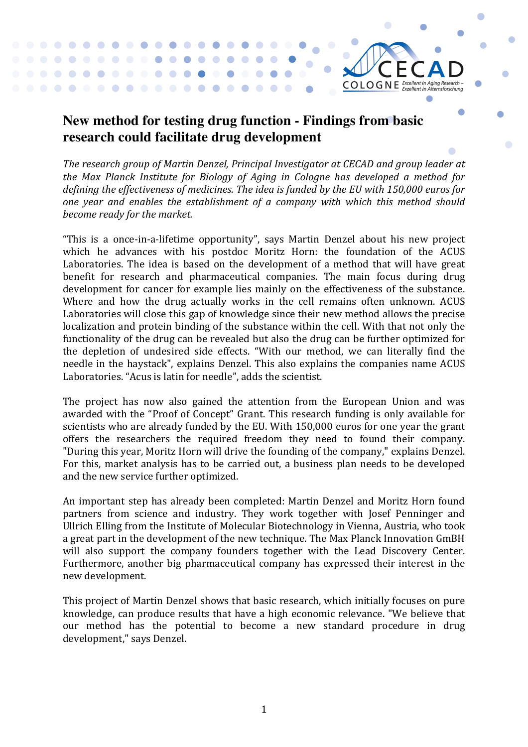## **New method for testing drug function - Findings from basic research could facilitate drug development**

. . . . . . 

 $\bullet\hspace{0.1cm} \bullet\hspace{0.1cm} \bullet\hspace{0.1cm} \bullet\hspace{0.1cm} \bullet$ 

 $\bullet$ 

 $\blacksquare$  $\bullet$   $\blacksquare$ 

 $\bullet$  $\blacksquare$ 

> $\bullet$  $\bullet$

The research group of Martin Denzel, Principal Investigator at CECAD and group leader at *the Max Planck Institute for Biology of Aging in Cologne has developed a method for* defining the effectiveness of medicines. The idea is funded by the EU with 150,000 euros for *one year and enables the establishment of a company with which this method should become ready for the market.* 

 $CO$  LO G N E *Excellent in Aging Research* -

 $\blacksquare$ 

"This is a once-in-a-lifetime opportunity", says Martin Denzel about his new project which he advances with his postdoc Moritz Horn: the foundation of the ACUS Laboratories. The idea is based on the development of a method that will have great benefit for research and pharmaceutical companies. The main focus during drug development for cancer for example lies mainly on the effectiveness of the substance. Where and how the drug actually works in the cell remains often unknown. ACUS Laboratories will close this gap of knowledge since their new method allows the precise localization and protein binding of the substance within the cell. With that not only the functionality of the drug can be revealed but also the drug can be further optimized for the depletion of undesired side effects. "With our method, we can literally find the needle in the haystack", explains Denzel. This also explains the companies name ACUS Laboratories. "Acus is latin for needle", adds the scientist.

The project has now also gained the attention from the European Union and was awarded with the "Proof of Concept" Grant. This research funding is only available for scientists who are already funded by the EU. With 150,000 euros for one year the grant offers the researchers the required freedom they need to found their company. "During this year, Moritz Horn will drive the founding of the company," explains Denzel. For this, market analysis has to be carried out, a business plan needs to be developed and the new service further optimized.

An important step has already been completed: Martin Denzel and Moritz Horn found partners from science and industry. They work together with Josef Penninger and Ullrich Elling from the Institute of Molecular Biotechnology in Vienna, Austria, who took a great part in the development of the new technique. The Max Planck Innovation GmBH will also support the company founders together with the Lead Discovery Center. Furthermore, another big pharmaceutical company has expressed their interest in the new development.

This project of Martin Denzel shows that basic research, which initially focuses on pure knowledge, can produce results that have a high economic relevance. "We believe that our method has the potential to become a new standard procedure in drug development," says Denzel.